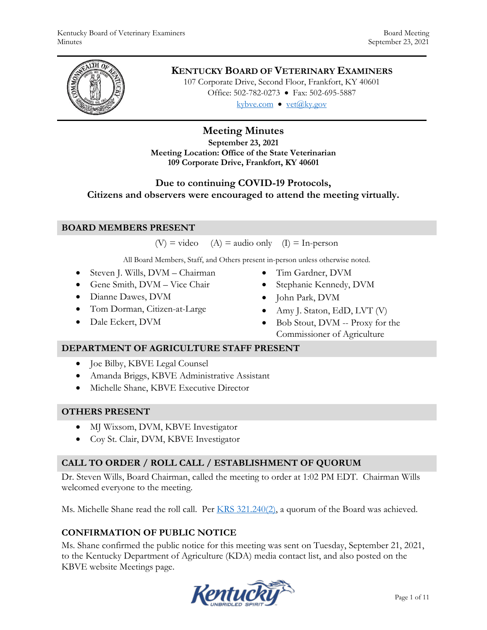

# **KENTUCKY BOARD OF VETERINARY EXAMINERS**

107 Corporate Drive, Second Floor, Frankfort, KY 40601 Office: 502-782-0273 • Fax: 502-695-5887 kybve.com  $\bullet$  vet $(\partial_k$ ky.gov

# **Meeting Minutes**

**September 23, 2021 Meeting Location: Office of the State Veterinarian 109 Corporate Drive, Frankfort, KY 40601**

# **Due to continuing COVID-19 Protocols,**

**Citizens and observers were encouraged to attend the meeting virtually.**

## **BOARD MEMBERS PRESENT**

 $(V)$  = video (A) = audio only (I) = In-person

All Board Members, Staff, and Others present in-person unless otherwise noted.

- Steven J. Wills, DVM Chairman
- Gene Smith, DVM Vice Chair
- Dianne Dawes, DVM
- Tom Dorman, Citizen-at-Large
- Dale Eckert, DVM
- Tim Gardner, DVM
- Stephanie Kennedy, DVM
- John Park, DVM
- Amy J. Staton, EdD, LVT (V)
- Bob Stout, DVM -- Proxy for the Commissioner of Agriculture

#### **DEPARTMENT OF AGRICULTURE STAFF PRESENT**

- Joe Bilby, KBVE Legal Counsel
- Amanda Briggs, KBVE Administrative Assistant
- Michelle Shane, KBVE Executive Director

## **OTHERS PRESENT**

- MJ Wixsom, DVM, KBVE Investigator
- Coy St. Clair, DVM, KBVE Investigator

## **CALL TO ORDER / ROLL CALL / ESTABLISHMENT OF QUORUM**

Dr. Steven Wills, Board Chairman, called the meeting to order at 1:02 PM EDT. Chairman Wills welcomed everyone to the meeting.

Ms. Michelle Shane read the roll call. Per [KRS 321.240\(2\),](https://apps.legislature.ky.gov/law/statutes/statute.aspx?id=45333) a quorum of the Board was achieved.

# **CONFIRMATION OF PUBLIC NOTICE**

Ms. Shane confirmed the public notice for this meeting was sent on Tuesday, September 21, 2021, to the Kentucky Department of Agriculture (KDA) media contact list, and also posted on the KBVE website Meetings page.

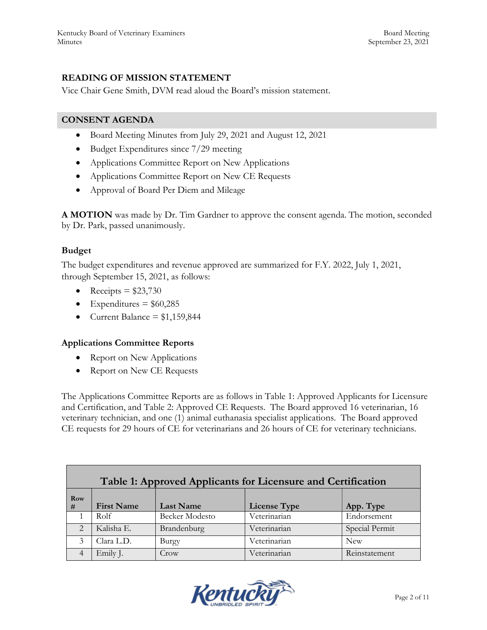# **READING OF MISSION STATEMENT**

Vice Chair Gene Smith, DVM read aloud the Board's mission statement.

## **CONSENT AGENDA**

- Board Meeting Minutes from July 29, 2021 and August 12, 2021
- Budget Expenditures since 7/29 meeting
- Applications Committee Report on New Applications
- Applications Committee Report on New CE Requests
- Approval of Board Per Diem and Mileage

**A MOTION** was made by Dr. Tim Gardner to approve the consent agenda. The motion, seconded by Dr. Park, passed unanimously.

## **Budget**

The budget expenditures and revenue approved are summarized for F.Y. 2022, July 1, 2021, through September 15, 2021, as follows:

- Receipts  $= $23,730$
- Expenditures =  $$60,285$
- Current Balance  $= $1,159,844$

## **Applications Committee Reports**

- Report on New Applications
- Report on New CE Requests

The Applications Committee Reports are as follows in Table 1: Approved Applicants for Licensure and Certification, and Table 2: Approved CE Requests. The Board approved 16 veterinarian, 16 veterinary technician, and one (1) animal euthanasia specialist applications. The Board approved CE requests for 29 hours of CE for veterinarians and 26 hours of CE for veterinary technicians.

| Table 1: Approved Applicants for Licensure and Certification |                   |                       |                     |                |  |  |  |  |
|--------------------------------------------------------------|-------------------|-----------------------|---------------------|----------------|--|--|--|--|
| Row<br>#                                                     | <b>First Name</b> | <b>Last Name</b>      | <b>License Type</b> | App. Type      |  |  |  |  |
|                                                              | Rolf              | <b>Becker Modesto</b> | Veterinarian        | Endorsement    |  |  |  |  |
| ↑                                                            | Kalisha E.        | Brandenburg           | Veterinarian        | Special Permit |  |  |  |  |
| 3                                                            | Clara L.D.        | Burgy                 | Veterinarian        | <b>New</b>     |  |  |  |  |
|                                                              | Emily J.          | Crow                  | Veterinarian        | Reinstatement  |  |  |  |  |

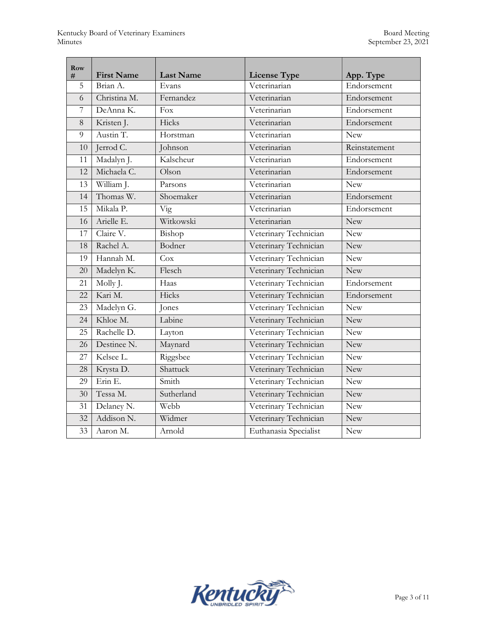| Row<br># | <b>First Name</b> | <b>Last Name</b> | <b>License Type</b>   | App. Type     |
|----------|-------------------|------------------|-----------------------|---------------|
| 5        | Brian A.          | Evans            | Veterinarian          | Endorsement   |
| 6        | Christina M.      | Fernandez        | Veterinarian          | Endorsement   |
| 7        | DeAnna K.         | Fox              | Veterinarian          | Endorsement   |
| 8        | Kristen J.        | Hicks            | Veterinarian          | Endorsement   |
| 9        | Austin T.         | Horstman         | Veterinarian          | <b>New</b>    |
| 10       | Jerrod C.         | Johnson          | Veterinarian          | Reinstatement |
| 11       | Madalyn J.        | Kalscheur        | Veterinarian          | Endorsement   |
| 12       | Michaela C.       | Olson            | Veterinarian          | Endorsement   |
| 13       | William J.        | Parsons          | Veterinarian          | New           |
| 14       | Thomas W.         | Shoemaker        | Veterinarian          | Endorsement   |
| 15       | Mikala P.         | <b>Vig</b>       | Veterinarian          | Endorsement   |
| 16       | Arielle E.        | Witkowski        | Veterinarian          | <b>New</b>    |
| 17       | Claire V.         | Bishop           | Veterinary Technician | <b>New</b>    |
| 18       | Rachel A.         | Bodner           | Veterinary Technician | <b>New</b>    |
| 19       | Hannah M.         | Cox              | Veterinary Technician | <b>New</b>    |
| 20       | Madelyn K.        | Flesch           | Veterinary Technician | New           |
| 21       | Molly J.          | Haas             | Veterinary Technician | Endorsement   |
| 22       | Kari M.           | Hicks            | Veterinary Technician | Endorsement   |
| 23       | Madelyn G.        | Jones            | Veterinary Technician | <b>New</b>    |
| 24       | Khloe M.          | Labine           | Veterinary Technician | New           |
| 25       | Rachelle D.       | Layton           | Veterinary Technician | <b>New</b>    |
| 26       | Destinee N.       | Maynard          | Veterinary Technician | <b>New</b>    |
| 27       | Kelsee L.         | Riggsbee         | Veterinary Technician | <b>New</b>    |
| 28       | Krysta D.         | Shattuck         | Veterinary Technician | <b>New</b>    |
| 29       | Erin E.           | Smith            | Veterinary Technician | <b>New</b>    |
| 30       | Tessa M.          | Sutherland       | Veterinary Technician | <b>New</b>    |
| 31       | Delaney N.        | Webb             | Veterinary Technician | <b>New</b>    |
| 32       | Addison N.        | Widmer           | Veterinary Technician | <b>New</b>    |
| 33       | Aaron M.          | Arnold           | Euthanasia Specialist | <b>New</b>    |

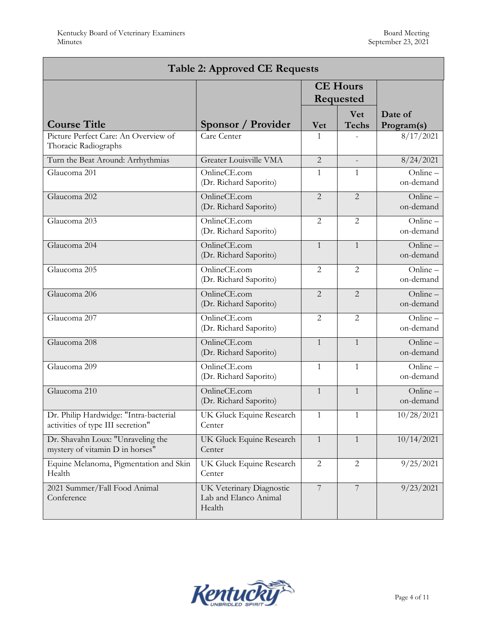| <b>Table 2: Approved CE Requests</b>                                        |                                                             |                 |                     |                       |  |  |  |  |
|-----------------------------------------------------------------------------|-------------------------------------------------------------|-----------------|---------------------|-----------------------|--|--|--|--|
|                                                                             | <b>CE Hours</b><br>Requested                                |                 |                     |                       |  |  |  |  |
| <b>Course Title</b>                                                         | Sponsor / Provider                                          | <b>Vet</b>      | Vet<br><b>Techs</b> | Date of<br>Program(s) |  |  |  |  |
| Picture Perfect Care: An Overview of<br>Thoracic Radiographs                | Care Center                                                 | $\mathbf{1}$    |                     | 8/17/2021             |  |  |  |  |
| Turn the Beat Around: Arrhythmias                                           | <b>Greater Louisville VMA</b>                               | $\overline{2}$  |                     | 8/24/2021             |  |  |  |  |
| Glaucoma 201                                                                | OnlineCE.com<br>(Dr. Richard Saporito)                      | $\mathbf{1}$    | $\mathbf{1}$        | Online-<br>on-demand  |  |  |  |  |
| Glaucoma 202                                                                | OnlineCE.com<br>(Dr. Richard Saporito)                      | $\overline{2}$  | $\overline{2}$      | Online-<br>on-demand  |  |  |  |  |
| Glaucoma 203                                                                | OnlineCE.com<br>(Dr. Richard Saporito)                      | $\overline{2}$  | $\overline{2}$      | Online-<br>on-demand  |  |  |  |  |
| Glaucoma 204                                                                | OnlineCE.com<br>(Dr. Richard Saporito)                      | $\mathbf{1}$    | $\mathbf{1}$        | Online-<br>on-demand  |  |  |  |  |
| Glaucoma 205                                                                | OnlineCE.com<br>(Dr. Richard Saporito)                      | $\overline{2}$  | $\overline{2}$      | Online-<br>on-demand  |  |  |  |  |
| Glaucoma 206                                                                | OnlineCE.com<br>(Dr. Richard Saporito)                      | $\overline{2}$  | $\overline{2}$      | Online-<br>on-demand  |  |  |  |  |
| Glaucoma 207                                                                | OnlineCE.com<br>(Dr. Richard Saporito)                      | $\overline{2}$  | $\overline{2}$      | Online-<br>on-demand  |  |  |  |  |
| Glaucoma 208                                                                | OnlineCE.com<br>(Dr. Richard Saporito)                      | $\mathbf{1}$    | $\mathbf{1}$        | Online-<br>on-demand  |  |  |  |  |
| Glaucoma 209                                                                | OnlineCE.com<br>(Dr. Richard Saporito)                      | $\mathbf{1}$    | $\mathbf{1}$        | Online-<br>on-demand  |  |  |  |  |
| Glaucoma 210                                                                | OnlineCE.com<br>(Dr. Richard Saporito)                      | $\mathbf{1}$    | $\mathbf{1}$        | Online-<br>on-demand  |  |  |  |  |
| Dr. Philip Hardwidge: "Intra-bacterial<br>activities of type III secretion" | UK Gluck Equine Research<br>Center                          | $\mathbf{1}$    | $\mathbf{1}$        | 10/28/2021            |  |  |  |  |
| Dr. Shavahn Loux: "Unraveling the<br>mystery of vitamin D in horses"        | UK Gluck Equine Research<br>Center                          | $\mathbf{1}$    | 1                   | 10/14/2021            |  |  |  |  |
| Equine Melanoma, Pigmentation and Skin<br>Health                            | UK Gluck Equine Research<br>Center                          | $\overline{2}$  | 2                   | 9/25/2021             |  |  |  |  |
| 2021 Summer/Fall Food Animal<br>Conference                                  | UK Veterinary Diagnostic<br>Lab and Elanco Animal<br>Health | $7\overline{ }$ | $\overline{7}$      | 9/23/2021             |  |  |  |  |

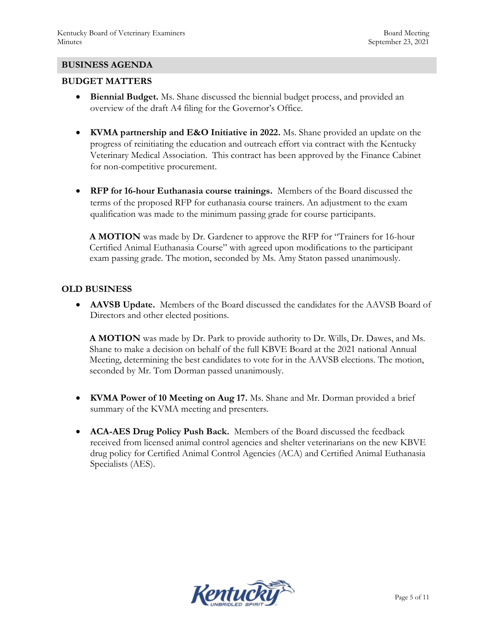#### **BUSINESS AGENDA**

#### **BUDGET MATTERS**

- **Biennial Budget.** Ms. Shane discussed the biennial budget process, and provided an overview of the draft A4 filing for the Governor's Office.
- **KVMA partnership and E&O Initiative in 2022.** Ms. Shane provided an update on the progress of reinitiating the education and outreach effort via contract with the Kentucky Veterinary Medical Association. This contract has been approved by the Finance Cabinet for non-competitive procurement.
- **RFP for 16-hour Euthanasia course trainings.** Members of the Board discussed the terms of the proposed RFP for euthanasia course trainers. An adjustment to the exam qualification was made to the minimum passing grade for course participants.

**A MOTION** was made by Dr. Gardener to approve the RFP for "Trainers for 16-hour Certified Animal Euthanasia Course" with agreed upon modifications to the participant exam passing grade. The motion, seconded by Ms. Amy Staton passed unanimously.

#### **OLD BUSINESS**

 **AAVSB Update.** Members of the Board discussed the candidates for the AAVSB Board of Directors and other elected positions.

**A MOTION** was made by Dr. Park to provide authority to Dr. Wills, Dr. Dawes, and Ms. Shane to make a decision on behalf of the full KBVE Board at the 2021 national Annual Meeting, determining the best candidates to vote for in the AAVSB elections. The motion, seconded by Mr. Tom Dorman passed unanimously.

- **KVMA Power of 10 Meeting on Aug 17.** Ms. Shane and Mr. Dorman provided a brief summary of the KVMA meeting and presenters.
- **ACA-AES Drug Policy Push Back.** Members of the Board discussed the feedback received from licensed animal control agencies and shelter veterinarians on the new KBVE drug policy for Certified Animal Control Agencies (ACA) and Certified Animal Euthanasia Specialists (AES).

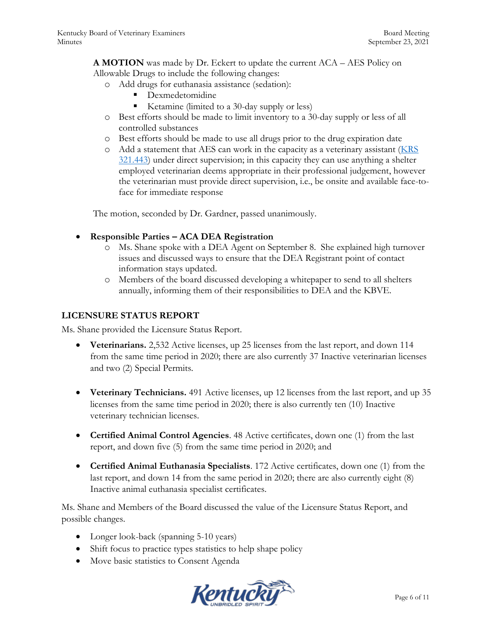**A MOTION** was made by Dr. Eckert to update the current ACA – AES Policy on Allowable Drugs to include the following changes:

- o Add drugs for euthanasia assistance (sedation):
	- **Dexmedetomidine**
	- Ketamine (limited to a 30-day supply or less)
- o Best efforts should be made to limit inventory to a 30-day supply or less of all controlled substances
- o Best efforts should be made to use all drugs prior to the drug expiration date
- o Add a statement that AES can work in the capacity as a veterinary assistant [\(KRS](https://apps.legislature.ky.gov/law/statutes/statute.aspx?id=31414)  [321.443\)](https://apps.legislature.ky.gov/law/statutes/statute.aspx?id=31414) under direct supervision; in this capacity they can use anything a shelter employed veterinarian deems appropriate in their professional judgement, however the veterinarian must provide direct supervision, i.e., be onsite and available face-toface for immediate response

The motion, seconded by Dr. Gardner, passed unanimously.

- **Responsible Parties – ACA DEA Registration**
	- o Ms. Shane spoke with a DEA Agent on September 8. She explained high turnover issues and discussed ways to ensure that the DEA Registrant point of contact information stays updated.
	- o Members of the board discussed developing a whitepaper to send to all shelters annually, informing them of their responsibilities to DEA and the KBVE.

## **LICENSURE STATUS REPORT**

Ms. Shane provided the Licensure Status Report.

- **Veterinarians.** 2,532 Active licenses, up 25 licenses from the last report, and down 114 from the same time period in 2020; there are also currently 37 Inactive veterinarian licenses and two (2) Special Permits.
- **Veterinary Technicians.** 491 Active licenses, up 12 licenses from the last report, and up 35 licenses from the same time period in 2020; there is also currently ten (10) Inactive veterinary technician licenses.
- **Certified Animal Control Agencies**. 48 Active certificates, down one (1) from the last report, and down five (5) from the same time period in 2020; and
- **Certified Animal Euthanasia Specialists**. 172 Active certificates, down one (1) from the last report, and down 14 from the same period in 2020; there are also currently eight (8) Inactive animal euthanasia specialist certificates.

Ms. Shane and Members of the Board discussed the value of the Licensure Status Report, and possible changes.

- Longer look-back (spanning 5-10 years)
- Shift focus to practice types statistics to help shape policy
- Move basic statistics to Consent Agenda

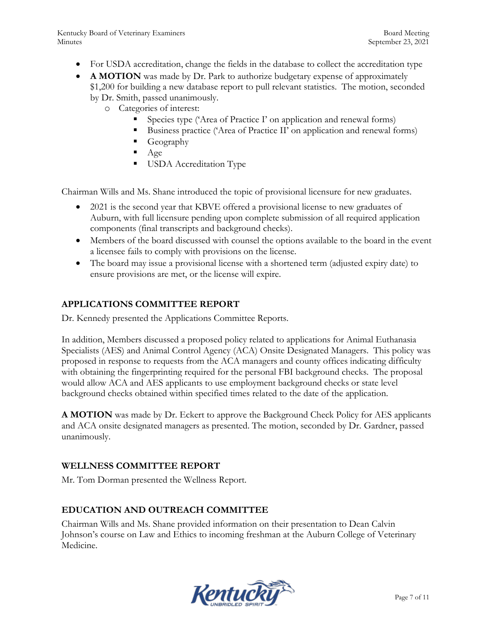- For USDA accreditation, change the fields in the database to collect the accreditation type
- **A MOTION** was made by Dr. Park to authorize budgetary expense of approximately \$1,200 for building a new database report to pull relevant statistics. The motion, seconded
	- by Dr. Smith, passed unanimously.
		- o Categories of interest:
			- Species type ('Area of Practice I' on application and renewal forms)
			- Business practice ('Area of Practice II' on application and renewal forms)
			- Geography
			- Age
			- **USDA** Accreditation Type

Chairman Wills and Ms. Shane introduced the topic of provisional licensure for new graduates.

- 2021 is the second year that KBVE offered a provisional license to new graduates of Auburn, with full licensure pending upon complete submission of all required application components (final transcripts and background checks).
- Members of the board discussed with counsel the options available to the board in the event a licensee fails to comply with provisions on the license.
- The board may issue a provisional license with a shortened term (adjusted expiry date) to ensure provisions are met, or the license will expire.

# **APPLICATIONS COMMITTEE REPORT**

Dr. Kennedy presented the Applications Committee Reports.

In addition, Members discussed a proposed policy related to applications for Animal Euthanasia Specialists (AES) and Animal Control Agency (ACA) Onsite Designated Managers. This policy was proposed in response to requests from the ACA managers and county offices indicating difficulty with obtaining the fingerprinting required for the personal FBI background checks. The proposal would allow ACA and AES applicants to use employment background checks or state level background checks obtained within specified times related to the date of the application.

**A MOTION** was made by Dr. Eckert to approve the Background Check Policy for AES applicants and ACA onsite designated managers as presented. The motion, seconded by Dr. Gardner, passed unanimously.

# **WELLNESS COMMITTEE REPORT**

Mr. Tom Dorman presented the Wellness Report.

# **EDUCATION AND OUTREACH COMMITTEE**

Chairman Wills and Ms. Shane provided information on their presentation to Dean Calvin Johnson's course on Law and Ethics to incoming freshman at the Auburn College of Veterinary Medicine.

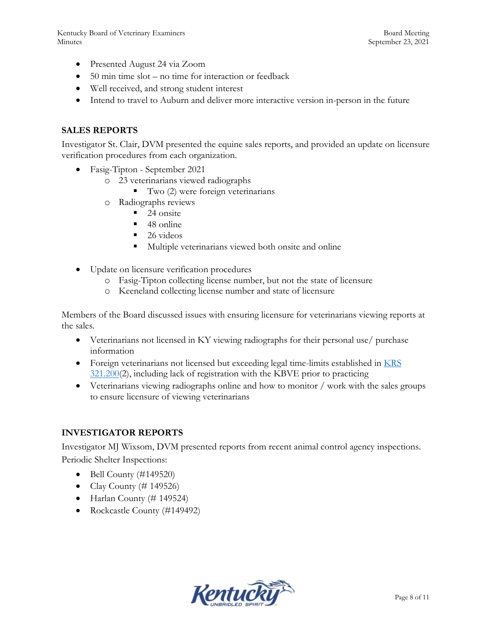- Presented August 24 via Zoom
- 50 min time slot no time for interaction or feedback
- Well received, and strong student interest
- Intend to travel to Auburn and deliver more interactive version in-person in the future

## **SALES REPORTS**

Investigator St. Clair, DVM presented the equine sales reports, and provided an update on licensure verification procedures from each organization.

- Fasig-Tipton September 2021
	- o 23 veterinarians viewed radiographs
		- Two (2) were foreign veterinarians
	- o Radiographs reviews
		- $\blacksquare$  24 onsite
		- $\blacksquare$  48 online
		- $\blacksquare$  26 videos
		- Multiple veterinarians viewed both onsite and online
- Update on licensure verification procedures
	- o Fasig-Tipton collecting license number, but not the state of licensure
	- o Keeneland collecting license number and state of licensure

Members of the Board discussed issues with ensuring licensure for veterinarians viewing reports at the sales.

- Veterinarians not licensed in KY viewing radiographs for their personal use/ purchase information
- Foreign veterinarians not licensed but exceeding legal time-limits established in KRS [321.200\(](https://apps.legislature.ky.gov/law/statutes/statute.aspx?id=45325)2), including lack of registration with the KBVE prior to practicing
- Veterinarians viewing radiographs online and how to monitor / work with the sales groups to ensure licensure of viewing veterinarians

## **INVESTIGATOR REPORTS**

Investigator MJ Wixsom, DVM presented reports from recent animal control agency inspections. Periodic Shelter Inspections:

- $\bullet$  Bell County (#149520)
- Clay County  $(\# 149526)$
- $\bullet$  Harlan County (# 149524)
- Rockcastle County (#149492)

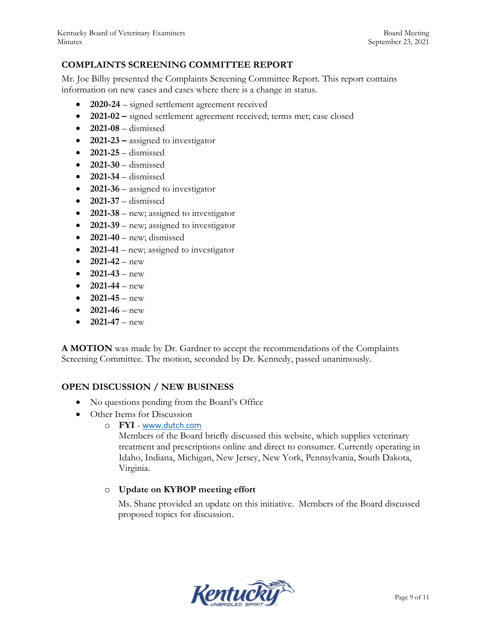# **COMPLAINTS SCREENING COMMITTEE REPORT**

Mr. Joe Bilby presented the Complaints Screening Committee Report. This report contains information on new cases and cases where there is a change in status.

- **2020-24**  signed settlement agreement received
- **2021-02 –** signed settlement agreement received; terms met; case closed
- **2021-08**  dismissed
- **2021-23 –** assigned to investigator
- **2021-25**  dismissed
- **2021-30**  dismissed
- $\bullet$  **2021-34** dismissed
- **2021-36** assigned to investigator
- **2021-37**  dismissed
- **2021-38**  new; assigned to investigator
- **2021-39** new; assigned to investigator
- $\bullet$  **2021-40** new; dismissed
- **2021-41** new; assigned to investigator
- $2021-42 new$
- $2021-43 new$
- **2021-44**  new
- $2021-45 new$
- $2021-46 new$
- $2021-47 new$

**A MOTION** was made by Dr. Gardner to accept the recommendations of the Complaints Screening Committee. The motion, seconded by Dr. Kennedy, passed unanimously.

## **OPEN DISCUSSION / NEW BUSINESS**

- No questions pending from the Board's Office
- Other Items for Discussion
	- o **FYI**  [www.dutch.com](http://www.dutch.com/)

Members of the Board briefly discussed this website, which supplies veterinary treatment and prescriptions online and direct to consumer. Currently operating in Idaho, Indiana, Michigan, New Jersey, New York, Pennsylvania, South Dakota, Virginia.

# o **Update on KYBOP meeting effort**

Ms. Shane provided an update on this initiative. Members of the Board discussed proposed topics for discussion.

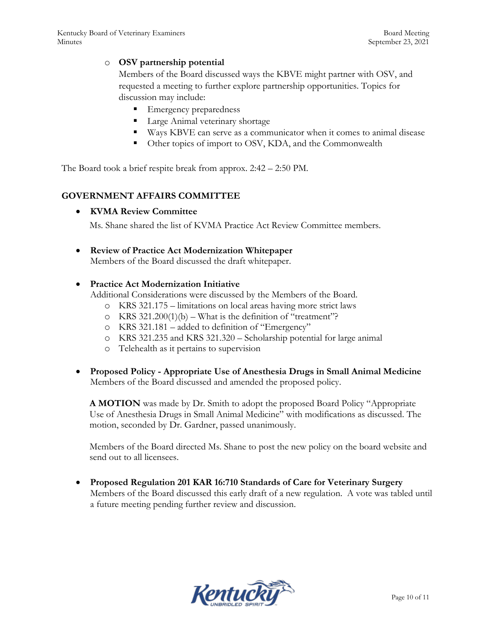### o **OSV partnership potential**

Members of the Board discussed ways the KBVE might partner with OSV, and requested a meeting to further explore partnership opportunities. Topics for discussion may include:

- Emergency preparedness
- Large Animal veterinary shortage
- Ways KBVE can serve as a communicator when it comes to animal disease
- Other topics of import to OSV, KDA, and the Commonwealth

The Board took a brief respite break from approx. 2:42 – 2:50 PM.

# **GOVERNMENT AFFAIRS COMMITTEE**

#### **KVMA Review Committee**

Ms. Shane shared the list of KVMA Practice Act Review Committee members.

#### **Review of Practice Act Modernization Whitepaper**

Members of the Board discussed the draft whitepaper.

#### **Practice Act Modernization Initiative**

Additional Considerations were discussed by the Members of the Board.

- o KRS 321.175 limitations on local areas having more strict laws
- o KRS  $321.200(1)(b)$  What is the definition of "treatment"?
- o KRS 321.181 added to definition of "Emergency"
- o KRS 321.235 and KRS 321.320 Scholarship potential for large animal
- o Telehealth as it pertains to supervision
- **Proposed Policy - Appropriate Use of Anesthesia Drugs in Small Animal Medicine** Members of the Board discussed and amended the proposed policy.

**A MOTION** was made by Dr. Smith to adopt the proposed Board Policy "Appropriate Use of Anesthesia Drugs in Small Animal Medicine" with modifications as discussed. The motion, seconded by Dr. Gardner, passed unanimously.

Members of the Board directed Ms. Shane to post the new policy on the board website and send out to all licensees.

 **Proposed Regulation 201 KAR 16:710 Standards of Care for Veterinary Surgery** Members of the Board discussed this early draft of a new regulation. A vote was tabled until a future meeting pending further review and discussion.

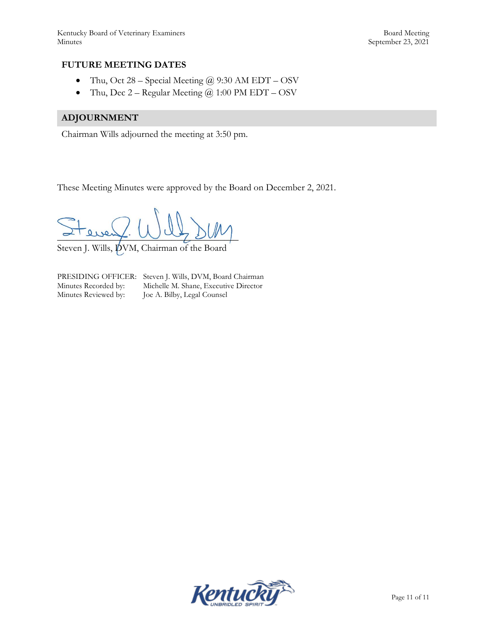## **FUTURE MEETING DATES**

- Thu, Oct 28 Special Meeting  $@$  9:30 AM EDT OSV
- Thu, Dec  $2 -$  Regular Meeting  $@ 1:00$  PM EDT OSV

## **ADJOURNMENT**

Chairman Wills adjourned the meeting at 3:50 pm.

These Meeting Minutes were approved by the Board on December 2, 2021.

 $= 1$ 

Steven J. Wills,  $\cancel{\text{p}}$ VM, Chairman of the Board

PRESIDING OFFICER: Steven J. Wills, DVM, Board Chairman Minutes Recorded by: Michelle M. Shane, Executive Director Minutes Reviewed by: Joe A. Bilby, Legal Counsel Joe A. Bilby, Legal Counsel

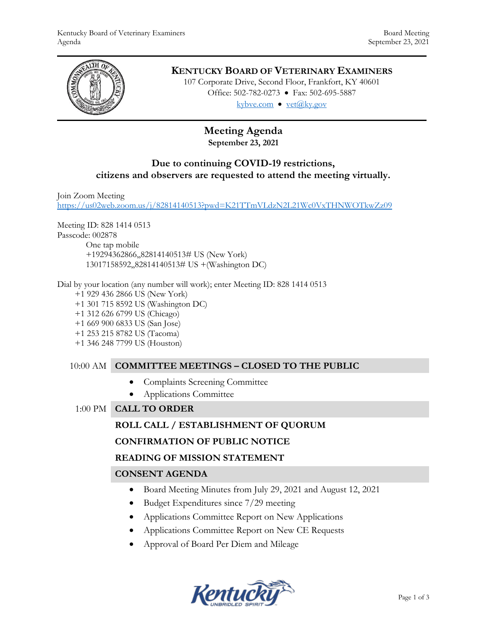

# **KENTUCKY BOARD OF VETERINARY EXAMINERS**

107 Corporate Drive, Second Floor, Frankfort, KY 40601 Office: 502-782-0273 • Fax: 502-695-5887 kybve.com  $\bullet$  yet $(\partial_k ky.gov)$ 

# **Meeting Agenda**

# **September 23, 2021**

## **Due to continuing COVID-19 restrictions, citizens and observers are requested to attend the meeting virtually.**

Join Zoom Meeting

<https://us02web.zoom.us/j/82814140513?pwd=K21TTmVLdzN2L21Wc0VxTHNWOTkwZz09>

Meeting ID: 828 1414 0513 Passcode: 002878

One tap mobile +19294362866,,82814140513# US (New York) 13017158592,,82814140513# US +(Washington DC)

Dial by your location (any number will work); enter Meeting ID: 828 1414 0513

+1 929 436 2866 US (New York)

- +1 301 715 8592 US (Washington DC)
- +1 312 626 6799 US (Chicago)
- +1 669 900 6833 US (San Jose)
- +1 253 215 8782 US (Tacoma)
- +1 346 248 7799 US (Houston)

# 10:00 AM **COMMITTEE MEETINGS – CLOSED TO THE PUBLIC**

- Complaints Screening Committee
- Applications Committee

1:00 PM **CALL TO ORDER**

# **ROLL CALL / ESTABLISHMENT OF QUORUM**

## **CONFIRMATION OF PUBLIC NOTICE**

## **READING OF MISSION STATEMENT**

# **CONSENT AGENDA**

- Board Meeting Minutes from July 29, 2021 and August 12, 2021
- Budget Expenditures since 7/29 meeting
- Applications Committee Report on New Applications
- Applications Committee Report on New CE Requests
- Approval of Board Per Diem and Mileage

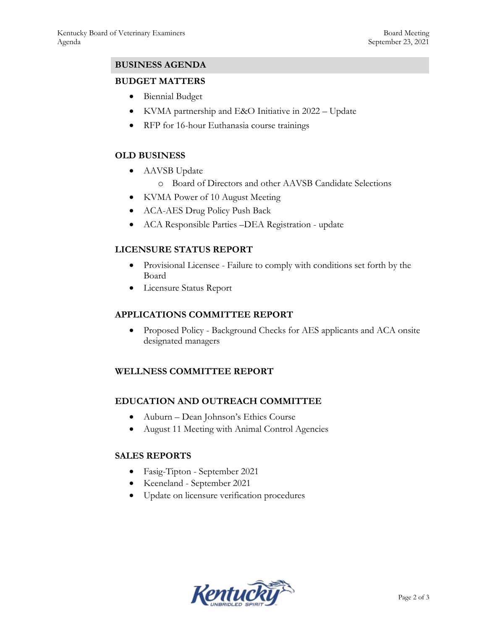# **BUSINESS AGENDA**

## **BUDGET MATTERS**

- Biennial Budget
- KVMA partnership and E&O Initiative in 2022 Update
- RFP for 16-hour Euthanasia course trainings

## **OLD BUSINESS**

- AAVSB Update
	- o Board of Directors and other AAVSB Candidate Selections
- KVMA Power of 10 August Meeting
- ACA-AES Drug Policy Push Back
- ACA Responsible Parties –DEA Registration update

# **LICENSURE STATUS REPORT**

- Provisional Licensee Failure to comply with conditions set forth by the Board
- Licensure Status Report

## **APPLICATIONS COMMITTEE REPORT**

• Proposed Policy - Background Checks for AES applicants and ACA onsite designated managers

# **WELLNESS COMMITTEE REPORT**

## **EDUCATION AND OUTREACH COMMITTEE**

- Auburn Dean Johnson's Ethics Course
- August 11 Meeting with Animal Control Agencies

## **SALES REPORTS**

- Fasig-Tipton September 2021
- Keeneland September 2021
- Update on licensure verification procedures